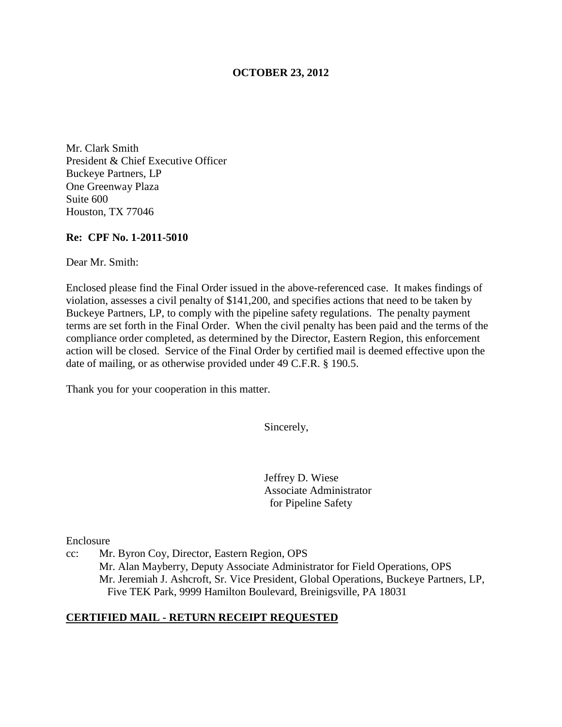## **OCTOBER 23, 2012**

Mr. Clark Smith President & Chief Executive Officer Buckeye Partners, LP One Greenway Plaza Suite 600 Houston, TX 77046

#### **Re: CPF No. 1-2011-5010**

Dear Mr. Smith:

Enclosed please find the Final Order issued in the above-referenced case. It makes findings of violation, assesses a civil penalty of \$141,200, and specifies actions that need to be taken by Buckeye Partners, LP, to comply with the pipeline safety regulations. The penalty payment terms are set forth in the Final Order. When the civil penalty has been paid and the terms of the compliance order completed, as determined by the Director, Eastern Region, this enforcement action will be closed. Service of the Final Order by certified mail is deemed effective upon the date of mailing, or as otherwise provided under 49 C.F.R. § 190.5.

Thank you for your cooperation in this matter.

Sincerely,

Jeffrey D. Wiese Associate Administrator for Pipeline Safety

Enclosure

cc: Mr. Byron Coy, Director, Eastern Region, OPS Mr. Alan Mayberry, Deputy Associate Administrator for Field Operations, OPS Mr. Jeremiah J. Ashcroft, Sr. Vice President, Global Operations, Buckeye Partners, LP, Five TEK Park, 9999 Hamilton Boulevard, Breinigsville, PA 18031

# **CERTIFIED MAIL - RETURN RECEIPT REQUESTED**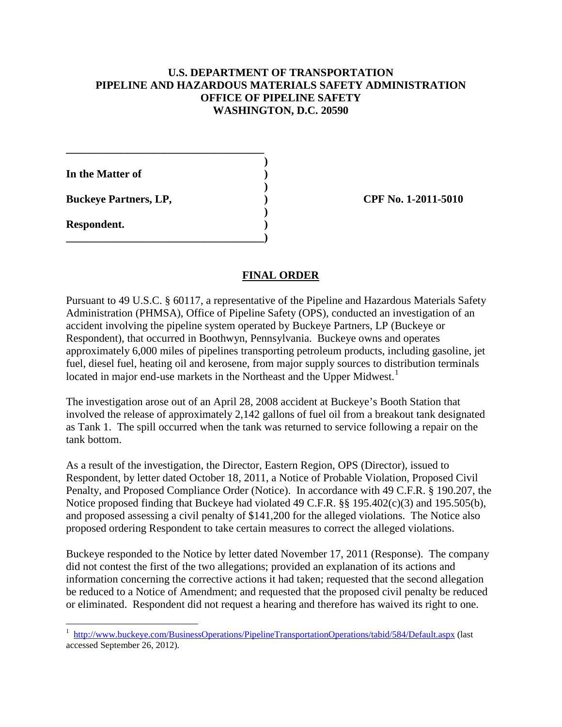## **U.S. DEPARTMENT OF TRANSPORTATION PIPELINE AND HAZARDOUS MATERIALS SAFETY ADMINISTRATION OFFICE OF PIPELINE SAFETY WASHINGTON, D.C. 20590**

**In the Matter of )** 

**Buckeye Partners, LP,**  (2011-5010)

**\_\_\_\_\_\_\_\_\_\_\_\_\_\_\_\_\_\_\_\_\_\_\_\_\_\_\_\_\_\_\_\_\_\_\_\_ )** 

 **)** 

 **)** 

**\_\_\_\_\_\_\_\_\_\_\_\_\_\_\_\_\_\_\_\_\_\_\_\_\_\_\_\_\_\_\_\_\_\_\_\_)** 

**Respondent. )** 

# **FINAL ORDER**

Pursuant to 49 U.S.C. § 60117, a representative of the Pipeline and Hazardous Materials Safety Administration (PHMSA), Office of Pipeline Safety (OPS), conducted an investigation of an accident involving the pipeline system operated by Buckeye Partners, LP (Buckeye or Respondent), that occurred in Boothwyn, Pennsylvania. Buckeye owns and operates approximately 6,000 miles of pipelines transporting petroleum products, including gasoline, jet fuel, diesel fuel, heating oil and kerosene, from major supply sources to distribution terminals located in major end-use markets in the Northeast and the Upper Midwest.<sup>1</sup>

The investigation arose out of an April 28, 2008 accident at Buckeye's Booth Station that involved the release of approximately 2,142 gallons of fuel oil from a breakout tank designated as Tank 1. The spill occurred when the tank was returned to service following a repair on the tank bottom.

As a result of the investigation, the Director, Eastern Region, OPS (Director), issued to Respondent, by letter dated October 18, 2011, a Notice of Probable Violation, Proposed Civil Penalty, and Proposed Compliance Order (Notice). In accordance with 49 C.F.R. § 190.207, the Notice proposed finding that Buckeye had violated 49 C.F.R. §§ 195.402(c)(3) and 195.505(b), and proposed assessing a civil penalty of \$141,200 for the alleged violations. The Notice also proposed ordering Respondent to take certain measures to correct the alleged violations.

Buckeye responded to the Notice by letter dated November 17, 2011 (Response). The company did not contest the first of the two allegations; provided an explanation of its actions and information concerning the corrective actions it had taken; requested that the second allegation be reduced to a Notice of Amendment; and requested that the proposed civil penalty be reduced or eliminated. Respondent did not request a hearing and therefore has waived its right to one.

 1 http://www.buckeye.com/BusinessOperations/PipelineTransportationOperations/tabid/584/Default.aspx (last accessed September 26, 2012).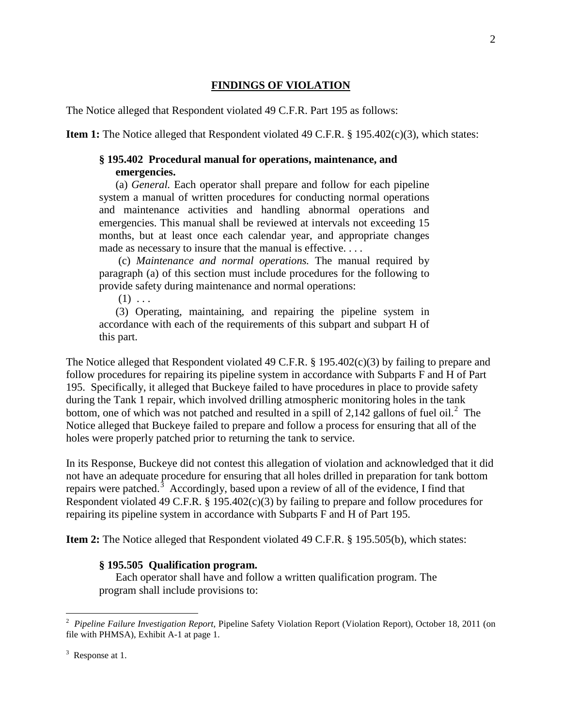# **FINDINGS OF VIOLATION**

The Notice alleged that Respondent violated 49 C.F.R. Part 195 as follows:

**Item 1:** The Notice alleged that Respondent violated 49 C.F.R. § 195.402(c)(3), which states:

#### **§ 195.402 Procedural manual for operations, maintenance, and emergencies.**

(a) *General.* Each operator shall prepare and follow for each pipeline system a manual of written procedures for conducting normal operations and maintenance activities and handling abnormal operations and emergencies. This manual shall be reviewed at intervals not exceeding 15 months, but at least once each calendar year, and appropriate changes made as necessary to insure that the manual is effective. . . .

(c) *Maintenance and normal operations.* The manual required by paragraph (a) of this section must include procedures for the following to provide safety during maintenance and normal operations:

 $(1) \ldots$ 

(3) Operating, maintaining, and repairing the pipeline system in accordance with each of the requirements of this subpart and subpart H of this part.

The Notice alleged that Respondent violated 49 C.F.R. § 195.402(c)(3) by failing to prepare and follow procedures for repairing its pipeline system in accordance with Subparts F and H of Part 195. Specifically, it alleged that Buckeye failed to have procedures in place to provide safety during the Tank 1 repair, which involved drilling atmospheric monitoring holes in the tank bottom, one of which was not patched and resulted in a spill of 2,142 gallons of fuel oil.<sup>2</sup> The Notice alleged that Buckeye failed to prepare and follow a process for ensuring that all of the holes were properly patched prior to returning the tank to service.

In its Response, Buckeye did not contest this allegation of violation and acknowledged that it did not have an adequate procedure for ensuring that all holes drilled in preparation for tank bottom repairs were patched.<sup>3</sup> Accordingly, based upon a review of all of the evidence, I find that Respondent violated 49 C.F.R. § 195.402(c)(3) by failing to prepare and follow procedures for repairing its pipeline system in accordance with Subparts F and H of Part 195.

**Item 2:** The Notice alleged that Respondent violated 49 C.F.R. § 195.505(b), which states:

#### **§ 195.505 Qualification program.**

Each operator shall have and follow a written qualification program. The program shall include provisions to:

 $\overline{a}$ 

<sup>2</sup> *Pipeline Failure Investigation Report*, Pipeline Safety Violation Report (Violation Report), October 18, 2011 (on file with PHMSA), Exhibit A-1 at page 1.

 $3$  Response at 1.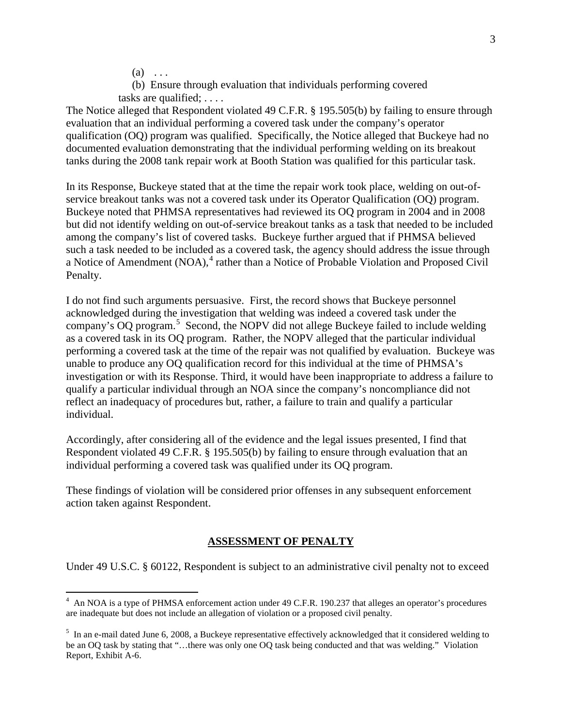$(a) \ldots$ 

 $\overline{a}$ 

(b) Ensure through evaluation that individuals performing covered tasks are qualified; . . . .

The Notice alleged that Respondent violated 49 C.F.R. § 195.505(b) by failing to ensure through evaluation that an individual performing a covered task under the company's operator qualification (OQ) program was qualified. Specifically, the Notice alleged that Buckeye had no documented evaluation demonstrating that the individual performing welding on its breakout tanks during the 2008 tank repair work at Booth Station was qualified for this particular task.

In its Response, Buckeye stated that at the time the repair work took place, welding on out-ofservice breakout tanks was not a covered task under its Operator Qualification (OQ) program. Buckeye noted that PHMSA representatives had reviewed its OQ program in 2004 and in 2008 but did not identify welding on out-of-service breakout tanks as a task that needed to be included among the company's list of covered tasks. Buckeye further argued that if PHMSA believed such a task needed to be included as a covered task, the agency should address the issue through a Notice of Amendment (NOA),<sup>4</sup> rather than a Notice of Probable Violation and Proposed Civil Penalty.

I do not find such arguments persuasive. First, the record shows that Buckeye personnel acknowledged during the investigation that welding was indeed a covered task under the company's OQ program.<sup>5</sup> Second, the NOPV did not allege Buckeye failed to include welding as a covered task in its OQ program. Rather, the NOPV alleged that the particular individual performing a covered task at the time of the repair was not qualified by evaluation. Buckeye was unable to produce any OQ qualification record for this individual at the time of PHMSA's investigation or with its Response. Third, it would have been inappropriate to address a failure to qualify a particular individual through an NOA since the company's noncompliance did not reflect an inadequacy of procedures but, rather, a failure to train and qualify a particular individual.

Accordingly, after considering all of the evidence and the legal issues presented, I find that Respondent violated 49 C.F.R. § 195.505(b) by failing to ensure through evaluation that an individual performing a covered task was qualified under its OQ program.

These findings of violation will be considered prior offenses in any subsequent enforcement action taken against Respondent.

#### **ASSESSMENT OF PENALTY**

Under 49 U.S.C. § 60122, Respondent is subject to an administrative civil penalty not to exceed

<sup>&</sup>lt;sup>4</sup> An NOA is a type of PHMSA enforcement action under 49 C.F.R. 190.237 that alleges an operator's procedures are inadequate but does not include an allegation of violation or a proposed civil penalty.

<sup>&</sup>lt;sup>5</sup> In an e-mail dated June 6, 2008, a Buckeye representative effectively acknowledged that it considered welding to be an OQ task by stating that "…there was only one OQ task being conducted and that was welding." Violation Report, Exhibit A-6.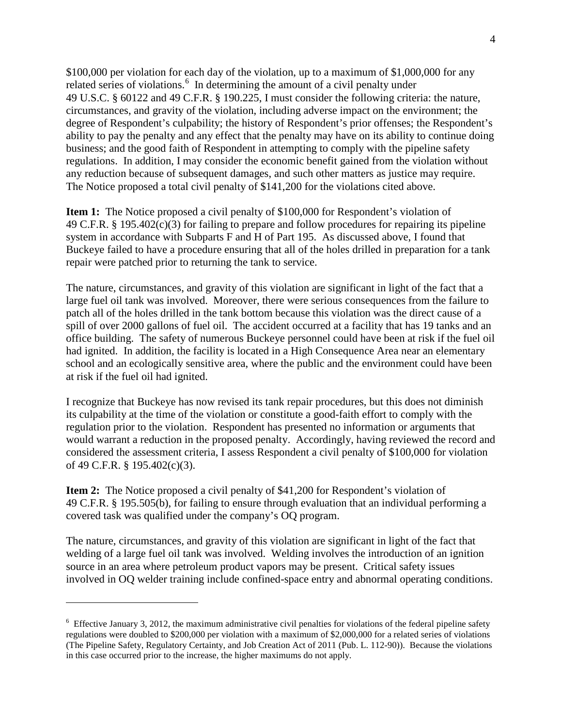\$100,000 per violation for each day of the violation, up to a maximum of \$1,000,000 for any related series of violations.<sup>6</sup> In determining the amount of a civil penalty under 49 U.S.C. § 60122 and 49 C.F.R. § 190.225, I must consider the following criteria: the nature, circumstances, and gravity of the violation, including adverse impact on the environment; the degree of Respondent's culpability; the history of Respondent's prior offenses; the Respondent's ability to pay the penalty and any effect that the penalty may have on its ability to continue doing business; and the good faith of Respondent in attempting to comply with the pipeline safety regulations. In addition, I may consider the economic benefit gained from the violation without any reduction because of subsequent damages, and such other matters as justice may require. The Notice proposed a total civil penalty of \$141,200 for the violations cited above.

**Item 1:** The Notice proposed a civil penalty of \$100,000 for Respondent's violation of 49 C.F.R. § 195.402(c)(3) for failing to prepare and follow procedures for repairing its pipeline system in accordance with Subparts F and H of Part 195. As discussed above, I found that Buckeye failed to have a procedure ensuring that all of the holes drilled in preparation for a tank repair were patched prior to returning the tank to service.

The nature, circumstances, and gravity of this violation are significant in light of the fact that a large fuel oil tank was involved. Moreover, there were serious consequences from the failure to patch all of the holes drilled in the tank bottom because this violation was the direct cause of a spill of over 2000 gallons of fuel oil. The accident occurred at a facility that has 19 tanks and an office building. The safety of numerous Buckeye personnel could have been at risk if the fuel oil had ignited. In addition, the facility is located in a High Consequence Area near an elementary school and an ecologically sensitive area, where the public and the environment could have been at risk if the fuel oil had ignited.

I recognize that Buckeye has now revised its tank repair procedures, but this does not diminish its culpability at the time of the violation or constitute a good-faith effort to comply with the regulation prior to the violation. Respondent has presented no information or arguments that would warrant a reduction in the proposed penalty. Accordingly, having reviewed the record and considered the assessment criteria, I assess Respondent a civil penalty of \$100,000 for violation of 49 C.F.R. § 195.402(c)(3).

**Item 2:** The Notice proposed a civil penalty of \$41,200 for Respondent's violation of 49 C.F.R. § 195.505(b), for failing to ensure through evaluation that an individual performing a covered task was qualified under the company's OQ program.

The nature, circumstances, and gravity of this violation are significant in light of the fact that welding of a large fuel oil tank was involved. Welding involves the introduction of an ignition source in an area where petroleum product vapors may be present. Critical safety issues involved in OQ welder training include confined-space entry and abnormal operating conditions.

 $\overline{a}$ 

 $6$  Effective January 3, 2012, the maximum administrative civil penalties for violations of the federal pipeline safety regulations were doubled to \$200,000 per violation with a maximum of \$2,000,000 for a related series of violations (The Pipeline Safety, Regulatory Certainty, and Job Creation Act of 2011 (Pub. L. 112-90)). Because the violations in this case occurred prior to the increase, the higher maximums do not apply.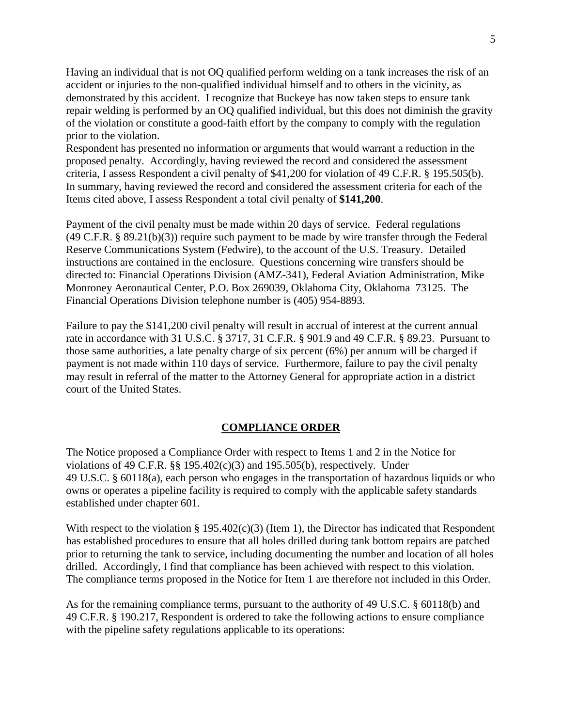Having an individual that is not OQ qualified perform welding on a tank increases the risk of an accident or injuries to the non-qualified individual himself and to others in the vicinity, as demonstrated by this accident. I recognize that Buckeye has now taken steps to ensure tank repair welding is performed by an OQ qualified individual, but this does not diminish the gravity of the violation or constitute a good-faith effort by the company to comply with the regulation prior to the violation.

Respondent has presented no information or arguments that would warrant a reduction in the proposed penalty. Accordingly, having reviewed the record and considered the assessment criteria, I assess Respondent a civil penalty of \$41,200 for violation of 49 C.F.R. § 195.505(b). In summary, having reviewed the record and considered the assessment criteria for each of the Items cited above, I assess Respondent a total civil penalty of **\$141,200**.

Payment of the civil penalty must be made within 20 days of service. Federal regulations (49 C.F.R. § 89.21(b)(3)) require such payment to be made by wire transfer through the Federal Reserve Communications System (Fedwire), to the account of the U.S. Treasury. Detailed instructions are contained in the enclosure. Questions concerning wire transfers should be directed to: Financial Operations Division (AMZ-341), Federal Aviation Administration, Mike Monroney Aeronautical Center, P.O. Box 269039, Oklahoma City, Oklahoma 73125. The Financial Operations Division telephone number is (405) 954-8893.

Failure to pay the \$141,200 civil penalty will result in accrual of interest at the current annual rate in accordance with 31 U.S.C. § 3717, 31 C.F.R. § 901.9 and 49 C.F.R. § 89.23. Pursuant to those same authorities, a late penalty charge of six percent (6%) per annum will be charged if payment is not made within 110 days of service. Furthermore, failure to pay the civil penalty may result in referral of the matter to the Attorney General for appropriate action in a district court of the United States.

## **COMPLIANCE ORDER**

The Notice proposed a Compliance Order with respect to Items 1 and 2 in the Notice for violations of 49 C.F.R.  $\$  195.402(c)(3) and 195.505(b), respectively. Under 49 U.S.C. § 60118(a), each person who engages in the transportation of hazardous liquids or who owns or operates a pipeline facility is required to comply with the applicable safety standards established under chapter 601.

With respect to the violation § 195.402(c)(3) (Item 1), the Director has indicated that Respondent has established procedures to ensure that all holes drilled during tank bottom repairs are patched prior to returning the tank to service, including documenting the number and location of all holes drilled. Accordingly, I find that compliance has been achieved with respect to this violation. The compliance terms proposed in the Notice for Item 1 are therefore not included in this Order.

As for the remaining compliance terms, pursuant to the authority of 49 U.S.C. § 60118(b) and 49 C.F.R. § 190.217, Respondent is ordered to take the following actions to ensure compliance with the pipeline safety regulations applicable to its operations: